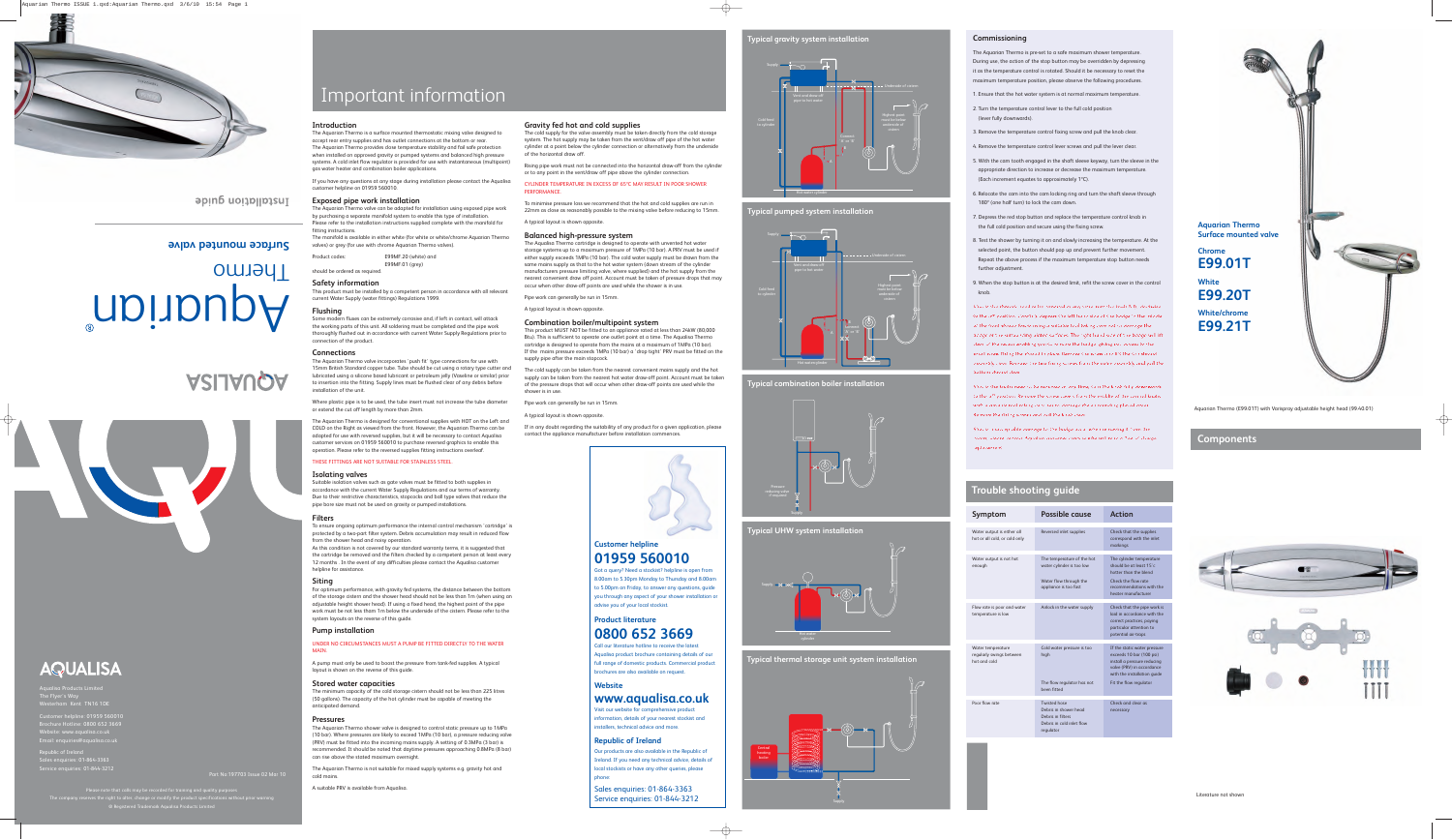

# Installation guide

## **Gravity fed hot and cold supplies**

The cold supply for the valve assembly must be taken directly from the cold storage system. The hot supply may be taken from the vent/draw off pipe of the hot water cylinder at a point below the cylinder connection or alternatively from the underside of the horizontal draw off.

Rising pipe work must not be connected into the horizontal draw-off from the cylinder or to any point in the vent/draw off pipe above the cylinder connection.

CYLINDER TEMPERATURE IN EXCESS OF 65ºC MAY RESULT IN POOR SHOWER

# PERFORMANCE.

To minimise pressure loss we recommend that the hot and cold supplies are run in 22mm as close as reasonably possible to the mixing valve before reducing to 15mm.

A typical layout is shown opposite.

### **Balanced high-pressure system**  The Aqualisa Thermo cartridge is designed to operate with unvented hot water storage systems up to a maximum pressure of 1MPa (10 bar). A PRV must be used if either supply exceeds 1MPa (10 bar). The cold water supply must be drawn from the same mains supply as that to the hot water system (down stream of the cylinder manufacturers pressure limiting valve, where supplied) and the hot supply from the nearest convenient draw off point. Account must be taken of pressure drops that may

occur when other draw-off points are used while the shower is in use.



Pipe work can generally be run in 15mm.

A typical layout is shown opposite.

# **Combination boiler/multipoint system**

This product MUST NOT be fitted to an appliance rated at less than 24kW (80,000 Btu). This is sufficient to operate one outlet point at a time. The Aqualisa Thermo cartridge is designed to operate from the mains at a maximum of 1MPa (10 bar). If the mains pressure exceeds 1MPa (10 bar) a 'drop tight' PRV must be fitted on the supply pipe after the main stopcock.

Product codes: E99MF.20 (white) and E99MF.01 (grey)

> The cold supply can be taken from the nearest convenient mains supply and the hot supply can be taken from the nearest hot water draw-off point. Account must be taken of the pressure drops that will occur when other draw-off points are used while the shower is in use.

Pipe work can generally be run in 15mm.

### A typical layout is shown opposite.

If in any doubt regarding the suitability of any product for a given application, please contact the appliance manufacturer before installation commences.

## **Introduction**

The Aquarian Thermo is a surface mounted thermostatic mixing valve designed to accept rear entry supplies and has outlet connections at the bottom or rear. The Aquarian Thermo provides close temperature stability and fail safe protection when installed on approved gravity or pumped systems and balanced high pressure systems. A cold inlet flow regulator is provided for use with instantaneous (multipoint) gas water heater and combination boiler applications.

If you have any questions at any stage during installation please contact the Aqualisa customer helpline on 01959 560010.

### **Exposed pipe work installation**

The Aquarian Thermo valve can be adapted for installation using exposed pipe work by purchasing a separate manifold system to enable this type of installation. Please refer to the installation instructions supplied complete with the manifold for fitting instructions.

The manifold is available in either white (for white or white/chrome Aquarian Thermo valves) or grey (for use with chrome Aquarian Thermo valves).

## should be ordered as required.

### **Safety information**

# LIDIJD Thermo

# **ASIJAUQA**



# **AQUALISA**

This product must be installed by a competent person in accordance with all relevant current Water Supply (water fittings) Regulations 1999.

### **Flushing**

Some modern fluxes can be extremely corrosive and, if left in contact, will attack the working parts of this unit. All soldering must be completed and the pipe work thoroughly flushed out in accordance with current Water Supply Regulations prior to connection of the product.

### **Connections**

The Aquarian Thermo valve incorporates 'push fit' type connections for use with 15mm British Standard copper tube. Tube should be cut using a rotary type cutter and lubricated using a silicone based lubricant or petroleum jelly (Vaseline or similar) prior to insertion into the fitting. Supply lines must be flushed clear of any debris before installation of the unit.

Where plastic pipe is to be used, the tube insert must not increase the tube diameter or extend the cut off length by more than 2mm.

The Aquarian Thermo is designed for conventional supplies with HOT on the Left and COLD on the Right as viewed from the front. However, the Aquarian Thermo can be adapted for use with reversed supplies, but it will be necessary to contact Aqualisa customer services on 01959 560010 to purchase reversed graphics to enable this operation. Please refer to the reversed supplies fitting instructions overleaf.

### THESE FITTINGS ARE NOT SUITABLE FOR STAINLESS STEEL.

### **Isolating valves**

Suitable isolation valves such as gate valves must be fitted to both supplies in accordance with the current Water Supply Regulations and our terms of warranty. Due to their restrictive characteristics, stopcocks and ball type valves that reduce the pipe bore size must not be used on gravity or pumped installations.

### **Filters**

To ensure ongoing optimum performance the internal control mechanism 'cartridge' is protected by a two-part filter system. Debris accumulation may result in reduced flow from the shower head and noisy operation.

As this condition is not covered by our standard warranty terms, it is suggested that the cartridge be removed and the filters checked by a competent person at least every 12 months . In the event of any difficulties please contact the Aqualisa customer helpline for assistance.

### **Siting**

For optimum performance, with gravity fed systems, the distance between the bottom of the storage cistern and the shower head should not be less than 1m (when using an adjustable height shower head). If using a fixed head, the highest point of the pipe work must be not less tham 1m below the underside of the cistern. Please refer to the system layouts on the reverse of this guide.

### **Pump installation**

UNDER NO CIRCUMSTANCES MUST A PUMP BE FITTED DIRECTLY TO THE WATER MAIN.

A pump must only be used to boost the pressure from tank-fed supplies. A typical layout is shown on the reverse of this guide.

### **Stored water capacities**

The minimum capacity of the cold storage cistern should not be less than 225 litres (50 gallons). The capacity of the hot cylinder must be capable of meeting the anticipated demand.

### **Pressures**

The Aquarian Thermo shower valve is designed to control static pressure up to 1MPa (10 bar). Where pressures are likely to exceed 1MPa (10 bar), a pressure reducing valve (PRV) must be fitted into the incoming mains supply. A setting of 0.3MPa (3 bar) is recommended. It should be noted that daytime pressures approaching 0.8MPa (8 bar) can rise above the stated maximum overnight.

The Aquarian Thermo is not suitable for mixed supply systems e.g. gravity hot and cold mains.

A suitable PRV is available from Aqualisa.

# **Surface mounted valve**

# **Components**

Aquarian Thermo (E99.01T) with Varispray adjustable height head (99.40.01)



**Chrome E99.01T**

**White E99.20T**

**White/chrome E99.21T**

# **Typical gravity system installation**

**Typical combination boiler installation**



**Typical UHW system installation**



**Typical thermal storage unit system installation**



# **Typical pumped system installation**





Aqualisa Products Limited The Flyer's Way Westerham Kent TN16 1DE

Customer helpline: 01959 560010 Brochure Hotline: 0800 652 3669 Website: www.aqualisa.co.uk Email: enquiries@aqualisa.co.uk

Republic of Ireland Sales enquiries: 01-864-3363 Service enquiries: 01-844-3212

## Part No:197703 Issue 02 Mar 10

The company reserves the right to alter, change or modify the product specifications without prior warning ® Registered Trademark Aqualisa Products Limited

# Important information

# **Trouble shooting guide**

| Symptom                                                       | <b>Possible cause</b>                                                                                       | <b>Action</b>                                                                                                                                                                 |
|---------------------------------------------------------------|-------------------------------------------------------------------------------------------------------------|-------------------------------------------------------------------------------------------------------------------------------------------------------------------------------|
| Water output is either all<br>hot or all cold, or cold only   | Reversed inlet supplies                                                                                     | Check that the supplies<br>correspond with the inlet<br>markings                                                                                                              |
| Water output is not hot<br>enough                             | The temperature of the hot<br>water cylinder is too low<br>Water flow through the<br>appliance is too fast  | The cylinder temperature<br>should be at least 15°c.<br>hotter than the blend<br>Check the flow rate<br>recommendations with the<br>heater manufacturer                       |
| Flow rate is poor and water<br>temperature is low             | Airlock in the water supply                                                                                 | Check that the pipe work is<br>laid in accordance with the<br>correct practices, paying<br>particular attention to<br>potential air-traps                                     |
| Water temperature<br>regularly swings between<br>hot and cold | Cold water pressure is too<br>high<br>The flow regulator has not<br>been fitted                             | If the static water pressure<br>exceeds 10 bar (100 psi)<br>install a pressure reducing<br>valve (PRV) in accordance<br>with the installation guide<br>Fit the flow regulator |
| Poor flow rate                                                | <b>Twisted hose</b><br>Debris in shower head<br>Debris in filters<br>Debris in cold inlet flow<br>regulator | Check and clear as<br>necessary                                                                                                                                               |





## **Commissioning**

The Aquarian Thermo is pre-set to a safe maximum shower temperature. During use, the action of the stop button may be overridden by depressing it as the temperature control is rotated. Should it be necessary to reset the maximum temperature position, please observe the following procedures.

- 1. Ensure that the hot water system is at normal maximum temperature.
- 2. Turn the temperature control lever to the full cold position (lever fully downwards).
- 3. Remove the temperature control fixing screw and pull the knob clear.
- 4. Remove the temperature control lever screws and pull the lever clear.
- 5. With the cam tooth engaged in the shaft sleeve keyway, turn the sleeve in the appropriate direction to increase or decrease the maximum temperature. (Each increment equates to approximately 1ºC).
- 6. Relocate the cam into the cam locking ring and turn the shaft sleeve through 180º (one half turn) to lock the cam down.
- 7. Depress the red stop button and replace the temperature control knob in the full cold position and secure using the fixing screw.
- 8. Test the shower by turning it on and slowly increasing the temperature. At the selected point, the button should pop up and prevent further movement. Repeat the above process if the maximum temperature stop button needs further adjustment.
- 9. When the stop button is at the desired limit, refit the screw cover in the control knob.

Should the shrouds need to be removed at any time, turn the knob fully clockwise to the off position. Carefully depress the left hand side of the badge in the middle of the front shroud fascia using a suitable tool taking care not to damage the badge or the surrounding plated surfaces. The right hand side of the badge will lift clear of the recess enabling you to remove the badge, giving you access to the small screw fixing the shroud in place. Remove the screw and lift the top shroud assembly clear. Remove the two fixing screws from the valve assembly and pull the bottom shroud clear.

Should the knobs need to be removed at any time, turn the knob fully downwards to the off position. Remove the screw covers from the middle of the control knobs with a suitable tool taking care not to damage the surrounding plated areas. Remove the fixing screws and pull the knob clear.

Should unacceptable damage to the badge occur when removing it from the recess, please contact Aqualisa customer services who will send a free of charge replacement.

# **Customer helpline**

# **01959 560010**

Got a query? Need a stockist? helpline is open from 8.00am to 5.30pm Monday to Thursday and 8.00am to 5.00pm on Friday, to answer any questions, guide you through any aspect of your shower installation or advise you of your local stockist.

# **Product literature**

# **0800 652 3669** Call our literature hotline to receive the latest

Aqualisa product brochure containing details of our full range of domestic products. Commercial product brochures are also available on request.

# **Website**

# **www.aqualisa.co.uk**

Visit our website for comprehensive product information, details of your nearest stockist and installers, technical advice and more.

# **Republic of Ireland**

Our products are also available in the Republic of Ireland. If you need any technical advice, details of local stockists or have any other queries, please

phone:

Sales enquiries: 01-864-3363 Service enquiries: 01-844-3212